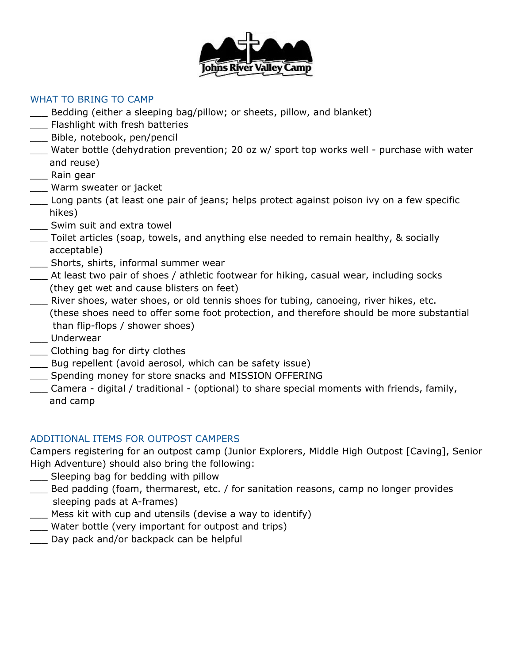

# WHAT TO BRING TO CAMP

- \_\_\_ Bedding (either a sleeping bag/pillow; or sheets, pillow, and blanket)
- \_\_\_ Flashlight with fresh batteries
- \_\_\_ Bible, notebook, pen/pencil
- Water bottle (dehydration prevention; 20 oz w/ sport top works well purchase with water and reuse)
- \_\_\_ Rain gear
- \_\_\_ Warm sweater or jacket
- \_\_\_ Long pants (at least one pair of jeans; helps protect against poison ivy on a few specific hikes)
- \_\_\_ Swim suit and extra towel
- \_\_\_ Toilet articles (soap, towels, and anything else needed to remain healthy, & socially acceptable)
- \_\_\_ Shorts, shirts, informal summer wear
- \_\_\_ At least two pair of shoes / athletic footwear for hiking, casual wear, including socks (they get wet and cause blisters on feet)
- \_\_\_ River shoes, water shoes, or old tennis shoes for tubing, canoeing, river hikes, etc. (these shoes need to offer some foot protection, and therefore should be more substantial than flip-flops / shower shoes)
- \_\_\_ Underwear
- \_\_\_ Clothing bag for dirty clothes
- \_\_\_ Bug repellent (avoid aerosol, which can be safety issue)
- \_\_\_ Spending money for store snacks and MISSION OFFERING
- \_\_\_ Camera digital / traditional (optional) to share special moments with friends, family, and camp

# ADDITIONAL ITEMS FOR OUTPOST CAMPERS

Campers registering for an outpost camp (Junior Explorers, Middle High Outpost [Caving], Senior High Adventure) should also bring the following:

- \_\_\_ Sleeping bag for bedding with pillow
- \_\_\_ Bed padding (foam, thermarest, etc. / for sanitation reasons, camp no longer provides sleeping pads at A-frames)
- \_\_\_ Mess kit with cup and utensils (devise a way to identify)
- Water bottle (very important for outpost and trips)
- Day pack and/or backpack can be helpful